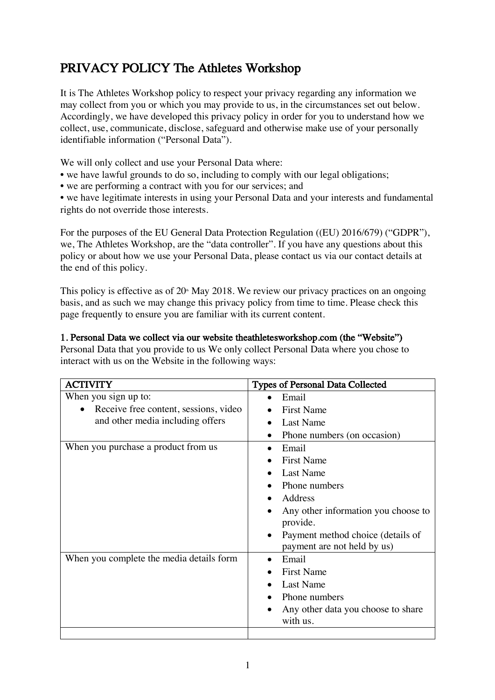# PRIVACY POLICY The Athletes Workshop

It is The Athletes Workshop policy to respect your privacy regarding any information we may collect from you or which you may provide to us, in the circumstances set out below. Accordingly, we have developed this privacy policy in order for you to understand how we collect, use, communicate, disclose, safeguard and otherwise make use of your personally identifiable information ("Personal Data").

We will only collect and use your Personal Data where:

- we have lawful grounds to do so, including to comply with our legal obligations;
- we are performing a contract with you for our services; and

• we have legitimate interests in using your Personal Data and your interests and fundamental rights do not override those interests.

For the purposes of the EU General Data Protection Regulation ((EU) 2016/679) ("GDPR"), we, The Athletes Workshop, are the "data controller". If you have any questions about this policy or about how we use your Personal Data, please contact us via our contact details at the end of this policy.

This policy is effective as of  $20<sup>th</sup>$  May 2018. We review our privacy practices on an ongoing basis, and as such we may change this privacy policy from time to time. Please check this page frequently to ensure you are familiar with its current content.

## 1. Personal Data we collect via our website theathletesworkshop.com (the "Website")

Personal Data that you provide to us We only collect Personal Data where you chose to interact with us on the Website in the following ways:

| <b>ACTIVITY</b>                                    | <b>Types of Personal Data Collected</b> |
|----------------------------------------------------|-----------------------------------------|
| When you sign up to:                               | Email                                   |
| Receive free content, sessions, video<br>$\bullet$ | <b>First Name</b>                       |
| and other media including offers                   | <b>Last Name</b>                        |
|                                                    | Phone numbers (on occasion)             |
| When you purchase a product from us                | Email                                   |
|                                                    | <b>First Name</b>                       |
|                                                    | Last Name                               |
|                                                    | Phone numbers                           |
|                                                    | Address                                 |
|                                                    | Any other information you choose to     |
|                                                    | provide.                                |
|                                                    | Payment method choice (details of       |
|                                                    | payment are not held by us)             |
| When you complete the media details form           | Email                                   |
|                                                    | <b>First Name</b>                       |
|                                                    | <b>Last Name</b>                        |
|                                                    | Phone numbers                           |
|                                                    | Any other data you choose to share      |
|                                                    | with us.                                |
|                                                    |                                         |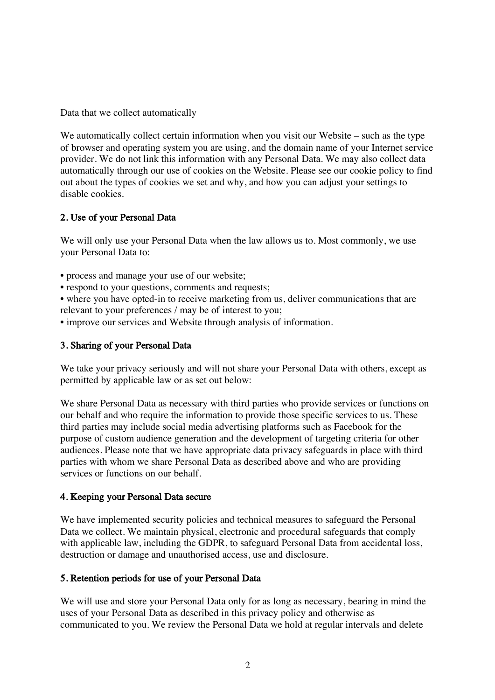Data that we collect automatically

We automatically collect certain information when you visit our Website – such as the type of browser and operating system you are using, and the domain name of your Internet service provider. We do not link this information with any Personal Data. We may also collect data automatically through our use of cookies on the Website. Please see our cookie policy to find out about the types of cookies we set and why, and how you can adjust your settings to disable cookies.

### 2. Use of your Personal Data

We will only use your Personal Data when the law allows us to. Most commonly, we use your Personal Data to:

- process and manage your use of our website;
- respond to your questions, comments and requests;
- where you have opted-in to receive marketing from us, deliver communications that are relevant to your preferences / may be of interest to you;
- improve our services and Website through analysis of information.

#### 3. Sharing of your Personal Data

We take your privacy seriously and will not share your Personal Data with others, except as permitted by applicable law or as set out below:

We share Personal Data as necessary with third parties who provide services or functions on our behalf and who require the information to provide those specific services to us. These third parties may include social media advertising platforms such as Facebook for the purpose of custom audience generation and the development of targeting criteria for other audiences. Please note that we have appropriate data privacy safeguards in place with third parties with whom we share Personal Data as described above and who are providing services or functions on our behalf.

#### 4. Keeping your Personal Data secure

We have implemented security policies and technical measures to safeguard the Personal Data we collect. We maintain physical, electronic and procedural safeguards that comply with applicable law, including the GDPR, to safeguard Personal Data from accidental loss, destruction or damage and unauthorised access, use and disclosure.

#### 5. Retention periods for use of your Personal Data

We will use and store your Personal Data only for as long as necessary, bearing in mind the uses of your Personal Data as described in this privacy policy and otherwise as communicated to you. We review the Personal Data we hold at regular intervals and delete